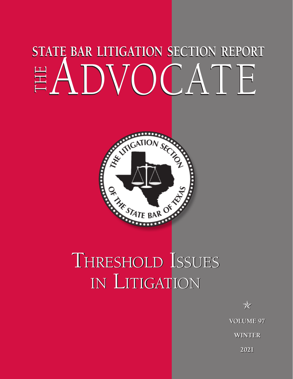# **STATE BAR LITIGATION SECTION REPORT STATE BAR LITIGATION SECTION REPORT** the ADVOCATE the ADVOCATE



## Threshold Issues Threshold Issues in Litigation in Litigation

✯ ✯ **VOLUME 97 VOLUME 97 WINTER WINTER**

**2021 2021**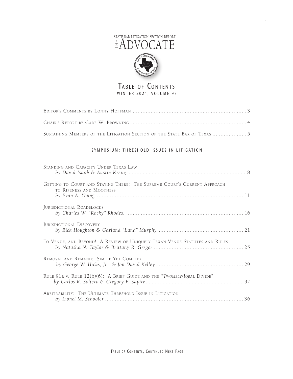#### STATE BAR LITIGATION SECTION REPORT the ADVOCATE



#### TABLE OF CONTENTS WINTER 2021, VOLUME 97

| SUSTAINING MEMBERS OF THE LITIGATION SECTION OF THE STATE BAR OF TEXAS 5 |  |
|--------------------------------------------------------------------------|--|

#### SYMPOSIUM: THRESHOLD ISSUES IN LITIGATION

| STANDING AND CAPACITY UNDER TEXAS LAW                                                                |  |
|------------------------------------------------------------------------------------------------------|--|
| GETTING TO COURT AND STAYING THERE: THE SUPREME COURT'S CURRENT APPROACH<br>TO RIPENESS AND MOOTNESS |  |
| JURISDICTIONAL ROADBLOCKS                                                                            |  |
| JURISDICTIONAL DISCOVERY                                                                             |  |
| TO VENUE, AND BEYOND! A REVIEW OF UNIQUELY TEXAN VENUE STATUTES AND RULES                            |  |
| REMOVAL AND REMAND: SIMPLE YET COMPLEX                                                               |  |
| RULE 91a v. RULE 12(b)(6): A BRIEF GUIDE AND THE "TWOMBLY/IQBAL DIVIDE"                              |  |
| ARBITRABILITY: THE ULTIMATE THRESHOLD ISSUE IN LITIGATION                                            |  |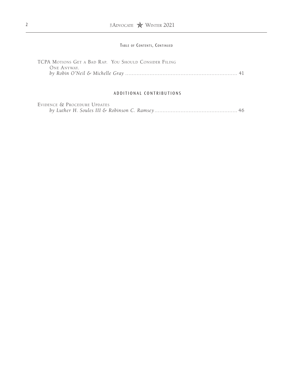#### TABLE OF CONTENTS, CONTINUED

| TCPA MOTIONS GET A BAD RAP. YOU SHOULD CONSIDER FILING |  |
|--------------------------------------------------------|--|
| One Anyway.                                            |  |
|                                                        |  |

#### A D D I T I O N A L CONTRIBUTIONS

| EVIDENCE & PROCEDURE UPDATES |  |
|------------------------------|--|
|                              |  |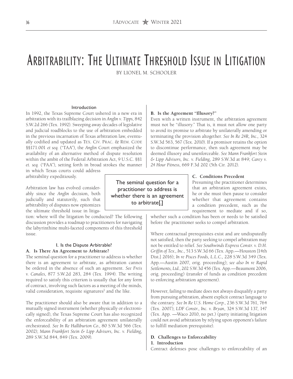### Arbitrability: The Ultimate Threshold Issue in Litigation

BY LIONEL M. SCHOOLER

#### Introduction

In 1992, the Texas Supreme Court ushered in a new era in arbitration with its trailblazing decision in *Anglin v. Tipps*, 842 S.W.2d 266 (Tex. 1992). Sweeping away decades of legislative and judicial roadblocks to the use of arbitration embedded in the previous incarnation of Texas arbitration law, eventually codified and updated as TEX. CIV. PRAC. & REM. CODE §§171.001 *et seq.* ("TAA"), the *Anglin* Court emphasized the availability of an alternative method of dispute resolution within the ambit of the Federal Arbitration Act, 9 U.S.C. §§1 *et. seq.* ("FAA"), setting forth in broad strokes the manner

in which Texas courts could address arbitrability expeditiously.

Arbitration law has evolved considerably since the *Anglin* decision, both judicially and statutorily, such that arbitrability of disputes now epitomizes the ultimate threshold issue in litiga-

tion: where will the litigation be conducted? The following discussion provides a roadmap to practitioners for navigating the labyrinthine multi-faceted components of this threshold issue.

#### I. Is the Dispute Arbitrable? **A. Is There An Agreement to Arbitrate?**

The seminal question for a practitioner to address is whether there is an agreement to arbitrate, as arbitration cannot be ordered in the absence of such an agreement. *See Freis v. Canales*, 877 S.W.2d 283, 284 (Tex. 1994). The writing required to satisfy this criterion is usually that for any form of contract, involving such factors as a meeting of the minds, valid consideration, requisite signatures<sup>1</sup> and the like.

The practitioner should also be aware that in addition to a mutually signed instrument (whether physically or electronically signed), the Texas Supreme Court has also recognized the enforceability of an arbitration agreement unilaterally orchestrated. *See In Re Halliburton Co.*, 80 S.W.3d 566 (Tex. 2002); *Mann Frankfort Stein & Lipp Advisors, Inc. v. Fielding*, 289 S.W.3d 844, 849 (Tex. 2009).

#### **B. Is the Agreement "Illusory?"**

Even with a written instrument, the arbitration agreement must not be "illusory." That is, it must not allow one party to avoid its promise to arbitrate by unilaterally amending or terminating the provision altogether. *See In Re 24R, Inc.,* 324 S.W.3d 563, 567 (Tex. 2010). If a promisor retains the option to discontinue performance, then such agreement may be deemed illusory and unenforceable. *See Mann Frankfort Stein & Lipp Advisors, Inc. v. Fielding*, 289 S.W.3d at 849; *Carey v. 24 Hour Fitness*, 669 F.3d 202 (5th Cir. 2012).

**C. Conditions Precedent**

Presuming the practitioner determines that an arbitration agreement exists, he or she must then pause to consider whether that agreement contains a condition precedent, such as the requirement to mediate and if so,

whether such a condition has been or needs to be satisfied before the practitioner seeks to compel arbitration.

Where contractual prerequisites exist and are undisputedly not satisfied, then the party seeking to compel arbitration may not be entitled to relief. *See Southwinds Express Constr. v. D.H. Griffin of Tex., Inc.*, 513 S.W.3d 66 (Tex. App.—Houston [14th Dist.] 2016); *In re Pisces Foods, L.L.C.,* 228 S.W.3d 349 (Tex. App.—Austin 2007, orig. proceeding); *see also In re Rapid Settlements, Ltd.*, 202 S.W.3d 456 (Tex. App.—Beaumont 2006, orig. proceeding) (transfer of funds as condition precedent to enforcing arbitration agreement).

However, failing to mediate does not always disqualify a party from pursuing arbitration, absent explicit contract language to the contrary. *See In Re U.S. Home Corp.*, 236 S.W.3d 761, 764 (Tex. 2007); *LDF Constr., Inc. v. Bryan*, 324 S.W.3d 137, 147 (Tex. App. —Waco 2010, no pet.) (party initiating litigation could not avoid arbitration by relying upon opponent's failure to fulfill mediation prerequisite).

#### **D. Challenges to Enforceability**

#### **1. Introduction**

Contract defenses pose challenges to enforceability of an

The seminal question for a practitioner to address is whether there is an agreement to arbitrate[.]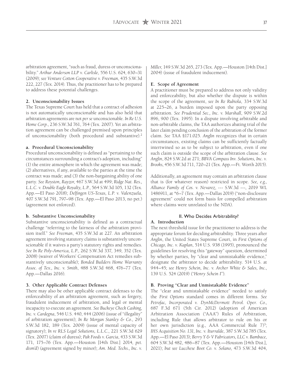arbitration agreement, "such as fraud, duress or unconscionability." *Arthur Anderson LLP v. Carlisle*, 556 U.S. 624, 630–31 (2009); *see Venture Cotton Cooperative v. Freeman*, 435 S.W.3d 222, 227 (Tex. 2014). Thus, the practitioner has to be prepared to address these potential challenges.

#### **2. Unconscionability Issues**

The Texas Supreme Court has held that a contract of adhesion is not automatically unconscionable and has also held that arbitration agreements are not *per se* unconscionable. *In Re U.S. Home Corp.*, 236 S.W.3d 761, 764 (Tex. 2007). Yet an arbitration agreement can be challenged premised upon principles of unconscionability (both procedural and substantive).2

#### **a. Procedural Unconscionability**

Procedural unconscionability is defined as "pertaining to the circumstances surrounding a contract's adoption, including" (1) the entire atmosphere in which the agreement was made; (2) alternatives, if any, available to the parties at the time the contract was made; and (3) the non-bargaining ability of one party. *See Royston, Rayzor*, 467 S.W.3d at 499; *Ridge Nat. Res., L.L.C. v. Double Eagle Royalty, L.P.*, 564 S.W.3d 105, 132 (Tex. App.—El Paso 2018); *Delfingen US-Texas, L.P. v. Valenzuela*, 407 S.W.3d 791, 797–98 (Tex. App.—El Paso 2013, no pet.) (agreement not enforced).

#### **b. Substantive Unconscionability**

Substantive unconscionability is defined as a contractual challenge "referring to the fairness of the arbitration provision itself." *See Freeman*, 435 S.W.3d at 227. An arbitration agreement involving statutory claims is substantively unconscionable if it waives a party's statutory rights and remedies. *See In Re Poly-America, L.P.*, 262 S.W.3d 337, 349, 352 (Tex. 2008) (waiver of Workers' Compensation Act remedies substantively unconscionable); *Bonded Builders Home Warranty Assoc. of Tex., Inc. v. Smith*, 488 S.W.3d 468, 476–77 (Tex. App.—Dallas 2016).

#### **3. Other Applicable Contract Defenses**

There may also be other applicable contract defenses to the enforceability of an arbitration agreement, such as forgery, fraudulent inducement of arbitration, and legal or mental incapacity to execute an agreement. *See Buckeye Check Cashing, Inc. v. Cardegna*, 546 U.S. 440, 444 (2006) (issue of "illegality" of arbitration agreement); *In Re Morgan Stanley & Co.*, 293 S.W.3d 182, 189 (Tex. 2009) (issue of mental capacity of signatory); *In re RLS Legal Solutions, L.L.C.*, 221 S.W.3d 629 (Tex. 2007) (claim of duress); *Pak Foods v. Garcia*, 433 S.W.3d 171, 175–76 (Tex. App.—Houston [14th Dist.] 2014, *pet. dism'd*) (agreement signed by minor); *Am. Med. Techs., Inc. v.*  *Miller*, 149 S.W.3d 265, 273 (Tex. App.—Houston [14th Dist.] 2004) (issue of fraudulent inducement).

#### **E. Scope of Agreement**

A practitioner must be prepared to address not only validity and enforceability, but also whether the dispute is within the scope of the agreement, *see In Re Rubiola*, 334 S.W.3d at 225–26, a burden imposed upon the party opposing arbitration. *See Prudential Sec., Inc. v. Marshall*, 909 S.W.2d 896, 900 (Tex. 1995). In a dispute involving arbitrable and non-arbitrable claims, the TAA authorizes abating trial of the later claim pending conclusion of the arbitration of the former claim. *See* TAA §171.025. *Anglin* recognizes that in certain circumstances, existing claims can be sufficiently factually intertwined so as to be subject to arbitration, even if one such claim is outside the scope of the arbitration clause. *See Anglin*, 824 S.W.2d at 271; *BBVA Compass Inv. Solutions, Inc. v. Brooks*, 456 S.W.3d 711, 720–21 (Tex. App.—Ft. Worth 2015).

Additionally, an agreement may contain an arbitration clause that is (for whatever reason) restricted in scope. *See, e.g., Alliance Family of Cos. v. Nevarez*, --- S.W.3d ---, 2019 WL 1486911, at \*6–7 (Tex. App.—Dallas 2019) ("non-disclosure agreement" could not form basis for compelled arbitration where claims were unrelated to the NDA).

#### II. Who Decides Arbitrability?

#### **A. Introduction**

The next threshold issue for the practitioner to address is the appropriate forum for deciding arbitrability. Three years after *Anglin*, the United States Supreme Court, in *First Options of Chicago, Inc. v. Kaplan*, 514 U.S. 938 (1995), pronounced the guidelines for resolving this "gateway" question, determined by whether parties, by "clear and unmistakable evidence," designate the arbitrator to decide arbitrability. 514 U.S. at 944–45; *see Henry Schein, Inc. v. Archer White & Sales, Inc.*, 139 U.S. 524 (2019) ("*Henry Schein I*").

#### **B. Proving "Clear and Unmistakable Evidence"**

The "clear and unmistakable evidence" needed to satisfy the *First Options* standard comes in different forms. *See Petrofac, Incorporated v. DynMcDermott Petrol. Oper. Co.,*  687 F.3d 671 (5th Cir. 2012) (adoption of American Arbitration Association ("AAA") Rules of Arbitration, including Rule that allows arbitrator to rule on his or her own jurisdiction (e.g., AAA Commercial Rule  $7^3$ ; *IHS Acquisition No. 131, Inc*. *v. Iturralde*, 387 S.W.3d 785 (Tex. App.—El Paso 2013); *Berry Y & V Fabricators, LLC v. Bambace,*  604 S.W.3d 482, 486–87 (Tex. App.—Houston [14th Dist.], 2021); *but see Lucchese Boot Co. v. Solano*, 473 S.W.3d 404,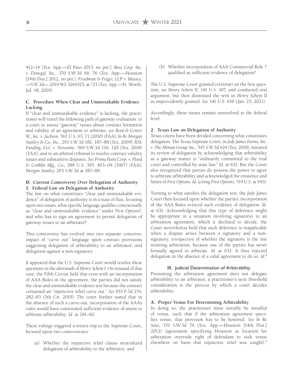412–14 (Tex. App.—El Paso 2015, no pet.); *Boss Corp. Inc. v. Donegal, Inc.*, 370 S.W.3d 68, 76 (Tex. App.—Houston [14th Dist.] 2012, no pet.); *Friedman & Feiger, LLP v. Massey*, —S.W.3d— 2019 WL 3269325, at \*21 (Tex. App.—Ft. Worth, Jul. 18, 2019).

#### **C. Procedure When Clear and Unmistakable Evidence Lacking**

If "clear and unmistakable evidence" is lacking, the practitioner will travel the following path of gateway evaluation: to a court to assess "gateway" issues about contract formation and validity of an agreement to arbitrate, *see Rent-A-Center W., Inc. v. Jackson*, 561 U.S. 63, 71 (2010) (FAA); *In Re Morgan Stanley & Co., Inc.*, 293 S.W.3d 182, 187–88 (Tex. 2009); *RSL Funding, LLC v. Newsome*, 569 S.W.3d 116, 120 (Tex. 2018) (TAA); and to an arbitral tribunal to resolve contract validity issues and substantive disputes. *See Prima Paint Corp. v. Flood & Conklin Mfg., Co.,* 388 U.S. 395, 403–04 (1967) (FAA); *Morgan Stanley,* 293 S.W.3d at 187–88.

#### **D. Current Controversy Over Delegation of Authority 1. Federal Law on Delegation of Authority**

The law on what constitutes "clear and unmistakable evidence" of delegation of authority is in a state of flux, focusing upon two issues: what specific language qualifies contractually as "clear and unmistakable evidence" under *First Options*?; and who has to sign an agreement to permit delegation of gateway issues to an arbitrator?

This controversy has evolved into two separate concerns: impact of "carve out" language upon contract provisions suggesting delegation of arbitrability to an arbitrator; and delegation against a non-signatory.

It appeared that the U.S. Supreme Court would resolve these questions in the aftermath of *Henry Schein I*. On remand of that case, the Fifth Circuit held that even with an incorporation of AAA Rules in the agreement, the parties did not satisfy the clear and unmistakable evidence test because the contract contained an "injunctive relief carve out." *See* 935 F.3d 274, 282–83 (5th Cir. 2019). The court further stated that in the absence of such a carve-out, incorporation of the AAA's rules would have constituted sufficient evidence of intent to arbitrate arbitrability. *Id.* at 281–82.

These rulings triggered a return trip to the Supreme Court, focused upon two controversies:

(a) Whether the injunctive relief clause neutralized delegation of arbitrability to the arbitrator; and

(b) Whether incorporation of AAA Commercial Rule 7 qualified as sufficient evidence of delegation?

The U.S. Supreme Court granted certiorari on the first question, *see Henry Schein II*, 141 U.S. 107, and conducted oral argument, but then dismissed the writ in *Henry Schein II* as improvidently granted. *See* 141 U.S. 656 (Jan. 25, 2021).

Accordingly, these issues remain unresolved at the federal level.

#### **2. Texas Law on Delegation of Authority**

Texas courts have been divided concerning what constitutes delegation. The Texas Supreme Court, in *Jody James Farms, Inc. v. The Altman Group, Inc.*, 547 S.W.3d 624 (Tex. 2018), initiated its review of delegation by acknowledging that arbitrability as a gateway matter is "ordinarily committed to the trial court and controlled by state law." *Id*. at 631. But the Court also recognized that parties do possess the power to agree to arbitrate arbitrability and acknowledged the existence and limits of *First Options*. *Id*. (citing *First Options*, 514 U.S. at 943).

Turning to what satisfies the delegation test, the *Jody James* Court then focused upon whether the parties' incorporation of the AAA Rules evinced such evidence of delegation. *Id*. at 631. Acknowledging that this type of deference might be appropriate in a situation involving *signatories* to an arbitration agreement, which it declined to decide, the Court nevertheless held that such deference is inapplicable when a dispute arises between a signatory and a nonsignatory, irrespective of whether the signatory is the one resisting arbitration, because one of the parties has never formally agreed to arbitrate. *Id.* at 632. It thus rejected delegation in the absence of a valid agreement to do so. *Id*. 4

#### III. Judicial Determination of Arbitrability

Presuming the arbitration agreement does not delegate arbitrability to an arbitrator, a practitioner's next threshold consideration is the process by which a court decides arbitrability.

#### **A. Proper Venue For Determining Arbitrability**

In doing so, the practitioner must initially be mindful of venue, such that if the arbitration agreement specifies venue, that provision has to be honored. *See In Re Sosa*, 370 S.W.3d 79 (Tex. App.—Houston [14th Dist.] 2012) (agreement specifying Houston as location for arbitration overrode right of defendant to seek venue elsewhere on basis that injunctive relief was sought).<sup>5</sup>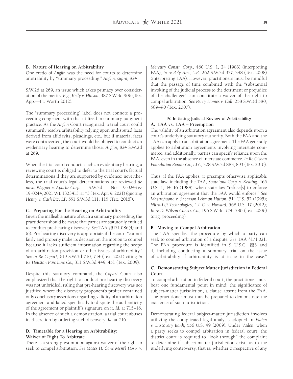#### **B. Nature of Hearing on Arbitrability**

One credo of *Anglin* was the need for courts to determine arbitrability by "summary proceeding," *Anglin, supra,* 824

S.W.2d at 269, an issue which takes primacy over consideration of the merits. *E.g.*, *Kelly v. Hinson*, 387 S.W.3d 906 (Tex. App.—Ft. Worth 2012).

The "summary proceeding" label does not connote a proceeding congruent with that utilized in summary-judgment practice. As the *Anglin* Court recognized, a trial court could summarily resolve arbitrability relying upon undisputed facts derived from affidavits, pleadings, etc., but if material facts were controverted, the court would be obliged to conduct an evidentiary hearing to determine those. *Anglin*, 824 S.W.2d at 269.

When the trial court conducts such an evidentiary hearing, a reviewing court is obliged to defer to the trial court's factual determinations if they are supported by evidence; nevertheless, the trial court's legal determinations are reviewed *de novo*. *Wagner v. Apache Corp.*, — S.W.3d —, Nos. 19-0243 & 19-0244, 2021 WL 1323413, at \*3 (Tex. Apr. 9, 2021) (quoting *Henry v. Cash Biz, LP*, 551 S.W.3d 111, 115 (Tex. 2018)).

#### **C. Preparing For the Hearing on Arbitrability**

Given the malleable nature of such a summary proceeding, the practitioner should be aware that parties are statutorily entitled to conduct pre-hearing discovery. *See* TAA §§171.086(4) and (6). Pre-hearing discovery is appropriate if the court "cannot fairly and properly make its decision on the motion to compel because it lacks sufficient information regarding the scope of an arbitration provision or other issues of arbitrability." *See In Re Copart*, 619 S.W.3d 710, 714 (Tex. 2021) citing *In Re Houston Pipe Line Co.*, 311 S.W.3d 449, 451 (Tex. 2009).

Despite this statutory command, the *Copart* Court also emphasized that the right to conduct pre-hearing discovery was not unbridled, ruling that pre-hearing discovery was not justified where the discovery proponent's proffer contained only conclusory assertions regarding validity of an arbitration agreement and failed specifically to dispute the authenticity of the agreement or plaintiff's signature on it. *Id*. at 715–16. In the absence of such a demonstration, a trial court abuses its discretion by ordering such discovery. *Id*. at 716.

#### **D. Timetable for a Hearing on Arbitrability: Waiver of Right To Arbitrate**

There is a strong presumption against waiver of the right to seek to compel arbitration. *See Moses H. Cone Mem'l Hosp. v.*  *Mercury Constr. Corp.*, 460 U.S. 1, 24 (1983) (interpreting FAA); *In re Poly-Am., L.P.*, 262 S.W.3d 337, 348 (Tex. 2008) (interpreting TAA). However, practitioners must be mindful that the passage of time combined with the "substantial invoking of the judicial process to the detriment or prejudice of the challenger" can constitute a waiver of the right to compel arbitration. *See Perry Homes v. Cull*, 258 S.W.3d 580, 589–90 (Tex. 2007).

#### IV. Initiating Judicial Review of Arbitrability **A. FAA vs. TAA – Preemption**

The validity of an arbitration agreement also depends upon a court's underlying statutory authority. Both the FAA and the TAA can apply to an arbitration agreement. The FAA generally applies to arbitration agreements involving interstate commerce, and additionally, parties can specify reliance upon the FAA, even in the absence of interstate commerce. *In Re Olshan Foundation Repair Co., LLC,* 328 S.W.3d 883, 893 (Tex. 2010).

Thus, if the FAA applies, it preempts otherwise applicable state law, including the TAA, *Southland Corp. v. Keating*, 465 U.S. 1, 14–16 (1984), when state law "refuse[s] to enforce an arbitration agreement that the FAA would enforce." *See Mastrobuono v. Shearson Lehman Hutton*, 514 U.S. 52 (1995); *Nitro-Lift Technologies, L.L.C. v. Howard*, 568 U.S. 17 (2012); *In re D. Wilson Constr. Co.*, 196 S.W.3d 774, 780 (Tex. 2006) (orig. proceeding).

#### **B. Moving to Compel Arbitration**

The TAA specifies the procedure by which a party can seek to compel arbitration of a dispute. *See* TAA §171.021. The FAA procedure is identified in 9 U.S.C. §§3 and 4, including conducting a summary trial on the issue of arbitrability if arbitrability is at issue in the case.<sup>6</sup>

#### **C. Demonstrating Subject Matter Jurisdiction in Federal Court**

To compel arbitration in federal court, the practitioner must bear one fundamental point in mind: the significance of subject-matter jurisdiction, a clause absent from the FAA. The practitioner must thus be prepared to demonstrate the existence of such jurisdiction.

Demonstrating federal subject-matter jurisdiction involves utilizing the complicated legal analysis adopted in *Vaden v. Discovery Bank*, 556 U.S. 49 (2009). Under *Vaden*, when a party seeks to compel arbitration in federal court, the district court is required to "look through" the complaint to determine if subject-matter jurisdiction exists as to the underlying controversy, that is, whether (irrespective of any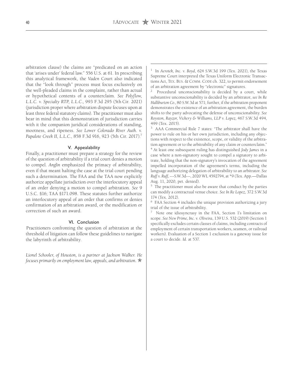arbitration clause) the claims are "predicated on an action that 'arises under' federal law." 556 U.S. at 61. In prescribing this analytical framework, the *Vaden* Court also indicated that the "look through" process must focus exclusively on the well-pleaded claims in the complaint, rather than actual or hypothetical contents of a counterclaim. *See Polyflow, L.L.C. v. Specialty RTP, L.L.C.,* 993 F.3d 295 (5th Cir. 2021) (jurisdiction proper where arbitration dispute focuses upon at least three federal statutory claims). The practitioner must also bear in mind that this demonstration of jurisdiction carries with it the companion juridical considerations of standing, mootness, and ripeness. *See Lower Colorado River Auth. v. Papalote Creek II, L.L.C.*, 858 F.3d 916, 923 (5th Cir. 2017).7

#### V. Appealability

Finally, a practitioner must prepare a strategy for the review of the question of arbitrability if a trial court denies a motion to compel. *Anglin* emphasized the primacy of arbitrability, even if that meant halting the case at the trial court pending such a determination. The FAA and the TAA now explicitly authorize appellate jurisdiction over the interlocutory appeal of an order denying a motion to compel arbitration. *See* 9 U.S.C. §16; TAA §171.098. These statutes further authorize an interlocutory appeal of an order that confirms or denies confirmation of an arbitration award, or the modification or correction of such an award.

#### VI. Conclusion

Practitioners confronting the question of arbitration at the threshold of litigation can follow these guidelines to navigate the labyrinth of arbitrability.

*Lionel Schooler, of Houston, is a partner at Jackson Walker. He focuses primarily on employment law, appeals, and arbitration.*  $\star$ 

1 In *Aerotek, Inc. v. Boyd*, 624 S.W.3d 199 (Tex. 2021), the Texas Supreme Court interpreted the Texas Uniform Electronic Transactions Act, TEX. BUS. & COMM. CODE ch. 322, to permit endorsement of an arbitration agreement by "electronic" signatures.

Procedural unconscionability is decided by a court, while substantive unconscionability is decided by an arbitrator, *see In Re Halliburton Co.,* 80 S.W.3d at 571; further, if the arbitration proponent demonstrates the existence of an arbitration agreement, the burden shifts to the party advocating the defense of unconscionability. *See Royston, Rayzor, Vickery & Williams, LLP v. Lopez*, 467 S.W.3d 494, 499 (Tex. 2015).

3 AAA Commercial Rule 7 states: "The arbitrator shall have the power to rule on his or her own jurisdiction, including any objections with respect to the existence, scope, or validity of the arbitration agreement or to the arbitrability of any claim or counterclaim." 4 At least one subsequent ruling has distinguished *Jody James* in a case where a non-signatory sought to compel a signatory to arbitrate, holding that the non-signatory's invocation of the agreement impelled incorporation of the agreement's terms, including the language authorizing delegation of arbitrability to an arbitrator. *See Ruff v. Ruff*, ---S.W.3d---, 2020 WL 4592794, at \*9 (Tex. App.—Dallas Aug. 11, 2020, pet. denied).

<sup>5</sup> The practitioner must also be aware that conduct by the parties can modify a contractual venue choice. *See In Re Lopez*, 372 S.W.3d 174 (Tex. 2012).

6 FAA Section 4 includes the unique provision authorizing a jury trial of the issue of arbitrability.

7 Note one idiosyncrasy in the FAA, Section 1's limitation on scope. *See New Prime, Inc. v. Oliveira*, 139 U.S. 532 (2019) (Section 1 specifically excludes certain classes of claims, including contracts of employment of certain transportation workers, seamen, or railroad workers). Evaluation of a Section 1 exclusion is a gateway issue for a court to decide. *Id.* at 537.